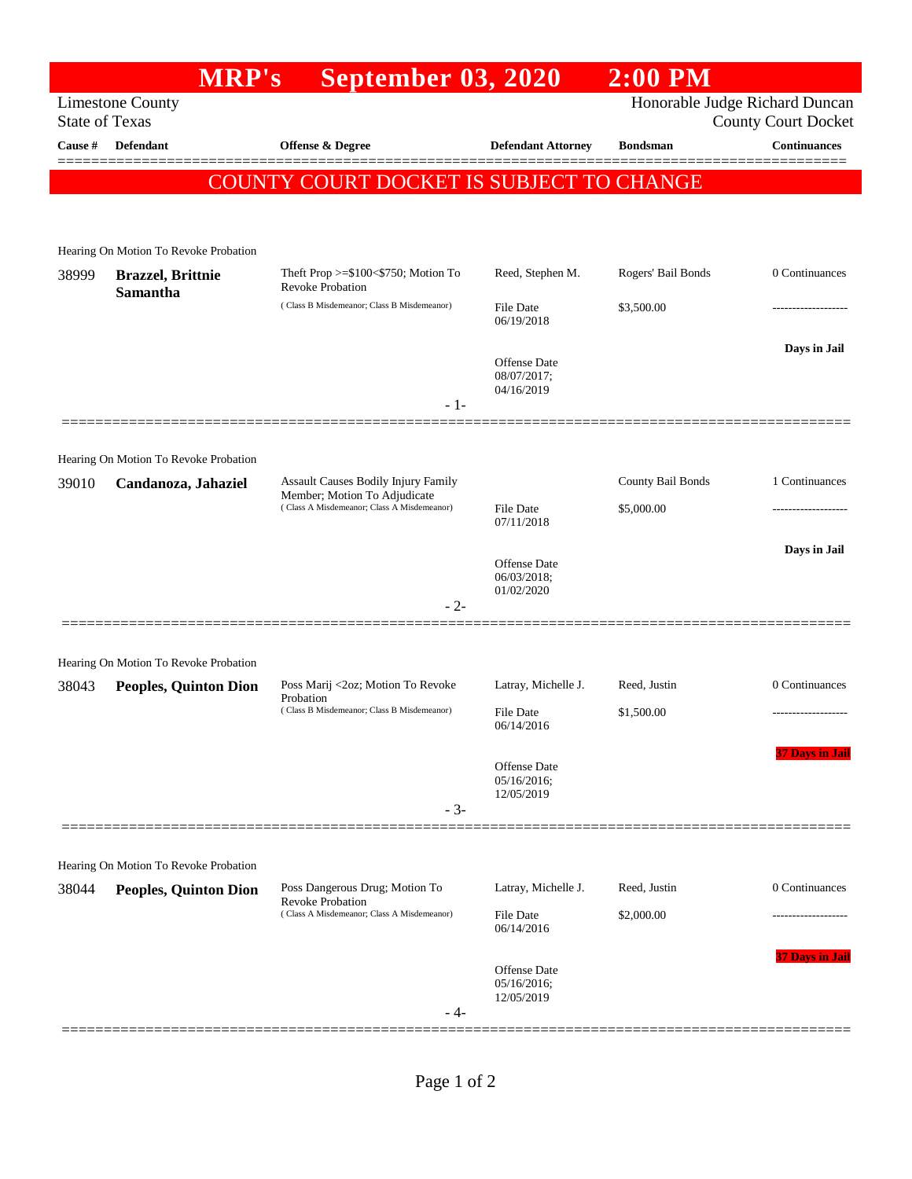|                                                                                                                  | <b>MRP's</b>                          | September 03, 2020                                                                                                |                                           | $2:00$ PM          |                        |
|------------------------------------------------------------------------------------------------------------------|---------------------------------------|-------------------------------------------------------------------------------------------------------------------|-------------------------------------------|--------------------|------------------------|
| Honorable Judge Richard Duncan<br><b>Limestone County</b><br><b>State of Texas</b><br><b>County Court Docket</b> |                                       |                                                                                                                   |                                           |                    |                        |
| Cause #                                                                                                          | <b>Defendant</b>                      | <b>Offense &amp; Degree</b>                                                                                       | <b>Defendant Attorney</b>                 | <b>Bondsman</b>    | <b>Continuances</b>    |
|                                                                                                                  |                                       | COUNTY COURT DOCKET IS SUBJECT TO CHANGE                                                                          |                                           |                    |                        |
|                                                                                                                  |                                       |                                                                                                                   |                                           |                    |                        |
|                                                                                                                  | Hearing On Motion To Revoke Probation |                                                                                                                   |                                           |                    |                        |
| 38999                                                                                                            | <b>Brazzel</b> , Brittnie<br>Samantha | Theft Prop $>= $100 < $750$ ; Motion To<br><b>Revoke Probation</b><br>(Class B Misdemeanor; Class B Misdemeanor)  | Reed, Stephen M.                          | Rogers' Bail Bonds | 0 Continuances         |
|                                                                                                                  |                                       |                                                                                                                   | <b>File Date</b><br>06/19/2018            | \$3,500.00         | -----------------      |
|                                                                                                                  |                                       |                                                                                                                   | Offense Date<br>08/07/2017;<br>04/16/2019 |                    | Days in Jail           |
|                                                                                                                  |                                       | $-1-$                                                                                                             |                                           |                    |                        |
|                                                                                                                  | Hearing On Motion To Revoke Probation |                                                                                                                   |                                           |                    |                        |
| 39010                                                                                                            | Candanoza, Jahaziel                   | Assault Causes Bodily Injury Family<br>Member; Motion To Adjudicate<br>(Class A Misdemeanor; Class A Misdemeanor) |                                           | County Bail Bonds  | 1 Continuances         |
|                                                                                                                  |                                       |                                                                                                                   | <b>File Date</b><br>07/11/2018            | \$5,000.00         | .                      |
|                                                                                                                  |                                       |                                                                                                                   | Offense Date                              |                    | Days in Jail           |
|                                                                                                                  |                                       |                                                                                                                   | 06/03/2018;<br>01/02/2020                 |                    |                        |
|                                                                                                                  |                                       | $-2-$                                                                                                             |                                           |                    |                        |
|                                                                                                                  | Hearing On Motion To Revoke Probation |                                                                                                                   |                                           |                    |                        |
| 38043                                                                                                            | <b>Peoples, Quinton Dion</b>          | Poss Marij <2oz; Motion To Revoke<br>Probation<br>(Class B Misdemeanor; Class B Misdemeanor)                      | Latray, Michelle J.                       | Reed, Justin       | 0 Continuances         |
|                                                                                                                  |                                       |                                                                                                                   | <b>File Date</b><br>06/14/2016            | \$1,500.00         | -------------------    |
|                                                                                                                  |                                       |                                                                                                                   | Offense Date<br>05/16/2016;<br>12/05/2019 |                    | <b>37 Days in Jail</b> |
|                                                                                                                  |                                       | $-3-$                                                                                                             |                                           |                    |                        |
|                                                                                                                  | Hearing On Motion To Revoke Probation |                                                                                                                   |                                           |                    |                        |
| 38044                                                                                                            | <b>Peoples, Quinton Dion</b>          | Poss Dangerous Drug; Motion To<br><b>Revoke Probation</b><br>(Class A Misdemeanor; Class A Misdemeanor)           | Latray, Michelle J.                       | Reed, Justin       | 0 Continuances         |
|                                                                                                                  |                                       |                                                                                                                   | <b>File Date</b><br>06/14/2016            | \$2,000.00         | .                      |
|                                                                                                                  |                                       | - 4-                                                                                                              | Offense Date<br>05/16/2016;<br>12/05/2019 |                    | 37 Days in Jail        |
|                                                                                                                  |                                       |                                                                                                                   |                                           |                    |                        |